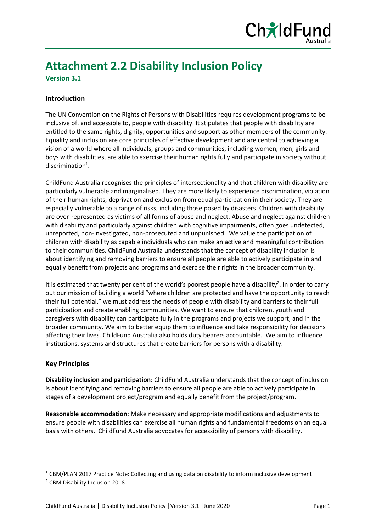

# **Attachment 2.2 Disability Inclusion Policy**

**Version 3.1**

### **Introduction**

The UN Convention on the Rights of Persons with Disabilities requires development programs to be inclusive of, and accessible to, people with disability. It stipulates that people with disability are entitled to the same rights, dignity, opportunities and support as other members of the community. Equality and inclusion are core principles of effective development and are central to achieving a vision of a world where all individuals, groups and communities, including women, men, girls and boys with disabilities, are able to exercise their human rights fully and participate in society without  $discription<sup>1</sup>$ .

ChildFund Australia recognises the principles of intersectionality and that children with disability are particularly vulnerable and marginalised. They are more likely to experience discrimination, violation of their human rights, deprivation and exclusion from equal participation in their society. They are especially vulnerable to a range of risks, including those posed by disasters. Children with disability are over-represented as victims of all forms of abuse and neglect. Abuse and neglect against children with disability and particularly against children with cognitive impairments, often goes undetected, unreported, non-investigated, non-prosecuted and unpunished. We value the participation of children with disability as capable individuals who can make an active and meaningful contribution to their communities. ChildFund Australia understands that the concept of disability inclusion is about identifying and removing barriers to ensure all people are able to actively participate in and equally benefit from projects and programs and exercise their rights in the broader community.

It is estimated that twenty per cent of the world's poorest people have a disability<sup>2</sup>. In order to carry out our mission of building a world "where children are protected and have the opportunity to reach their full potential," we must address the needs of people with disability and barriers to their full participation and create enabling communities. We want to ensure that children, youth and caregivers with disability can participate fully in the programs and projects we support, and in the broader community. We aim to better equip them to influence and take responsibility for decisions affecting their lives. ChildFund Australia also holds duty bearers accountable. We aim to influence institutions, systems and structures that create barriers for persons with a disability.

#### **Key Principles**

**Disability inclusion and participation:** ChildFund Australia understands that the concept of inclusion is about identifying and removing barriers to ensure all people are able to actively participate in stages of a development project/program and equally benefit from the project/program.

**Reasonable accommodation:** Make necessary and appropriate modifications and adjustments to ensure people with disabilities can exercise all human rights and fundamental freedoms on an equal basis with others. ChildFund Australia advocates for accessibility of persons with disability.

 $1$  CBM/PLAN 2017 Practice Note: Collecting and using data on disability to inform inclusive development

<sup>2</sup> CBM Disability Inclusion 2018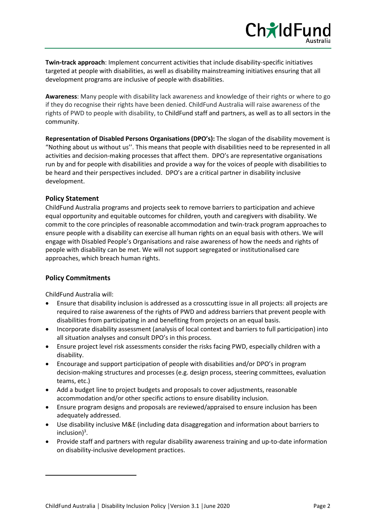**Twin-track approach**: Implement concurrent activities that include disability-specific initiatives targeted at people with disabilities, as well as disability mainstreaming initiatives ensuring that all development programs are inclusive of people with disabilities.

**Awareness**: Many people with disability lack awareness and knowledge of their rights or where to go if they do recognise their rights have been denied. ChildFund Australia will raise awareness of the rights of PWD to people with disability, to ChildFund staff and partners, as well as to all sectors in the community.

**Representation of Disabled Persons Organisations (DPO's):** The slogan of the disability movement is "Nothing about us without us''. This means that people with disabilities need to be represented in all activities and decision-making processes that affect them. DPO's are representative organisations run by and for people with disabilities and provide a way for the voices of people with disabilities to be heard and their perspectives included. DPO's are a critical partner in disability inclusive development.

#### **Policy Statement**

ChildFund Australia programs and projects seek to remove barriers to participation and achieve equal opportunity and equitable outcomes for children, youth and caregivers with disability. We commit to the core principles of reasonable accommodation and twin-track program approaches to ensure people with a disability can exercise all human rights on an equal basis with others. We will engage with Disabled People's Organisations and raise awareness of how the needs and rights of people with disability can be met. We will not support segregated or institutionalised care approaches, which breach human rights.

#### **Policy Commitments**

ChildFund Australia will:

- Ensure that disability inclusion is addressed as a crosscutting issue in all projects: all projects are required to raise awareness of the rights of PWD and address barriers that prevent people with disabilities from participating in and benefiting from projects on an equal basis.
- Incorporate disability assessment (analysis of local context and barriers to full participation) into all situation analyses and consult DPO's in this process.
- Ensure project level risk assessments consider the risks facing PWD, especially children with a disability.
- Encourage and support participation of people with disabilities and/or DPO's in program decision-making structures and processes (e.g. design process, steering committees, evaluation teams, etc.)
- Add a budget line to project budgets and proposals to cover adjustments, reasonable accommodation and/or other specific actions to ensure disability inclusion.
- Ensure program designs and proposals are reviewed/appraised to ensure inclusion has been adequately addressed.
- Use disability inclusive M&E (including data disaggregation and information about barriers to inclusion)<sup>3</sup>.
- Provide staff and partners with regular disability awareness training and up-to-date information on disability-inclusive development practices.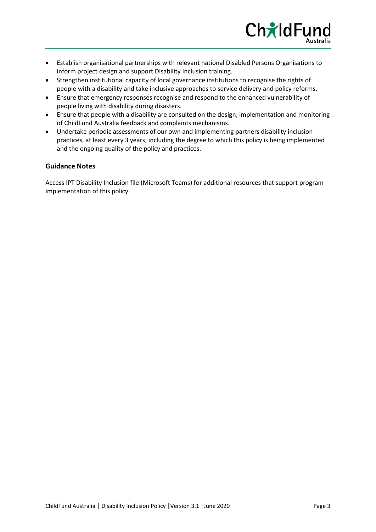

- Establish organisational partnerships with relevant national Disabled Persons Organisations to inform project design and support Disability Inclusion training.
- Strengthen institutional capacity of local governance institutions to recognise the rights of people with a disability and take inclusive approaches to service delivery and policy reforms.
- Ensure that emergency responses recognise and respond to the enhanced vulnerability of people living with disability during disasters.
- Ensure that people with a disability are consulted on the design, implementation and monitoring of ChildFund Australia feedback and complaints mechanisms.
- Undertake periodic assessments of our own and implementing partners disability inclusion practices, at least every 3 years, including the degree to which this policy is being implemented and the ongoing quality of the policy and practices.

#### **Guidance Notes**

Access IPT Disability Inclusion file (Microsoft Teams) for additional resources that support program implementation of this policy.